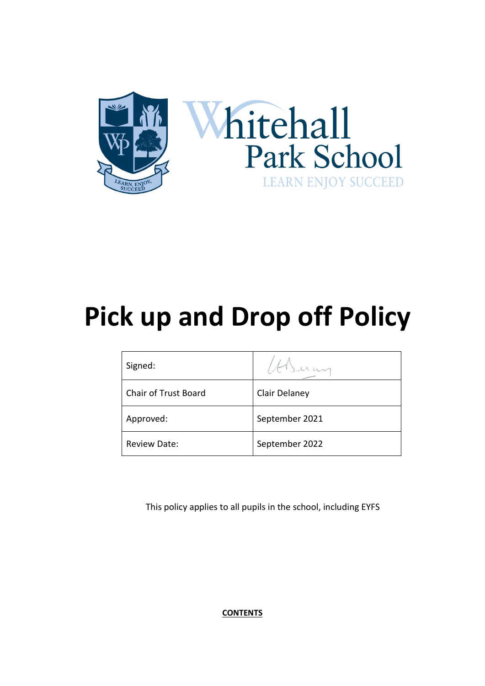

# **Pick up and Drop off Policy**

| Signed:              |                |
|----------------------|----------------|
| Chair of Trust Board | Clair Delaney  |
| Approved:            | September 2021 |
| <b>Review Date:</b>  | September 2022 |

This policy applies to all pupils in the school, including EYFS

**CONTENTS**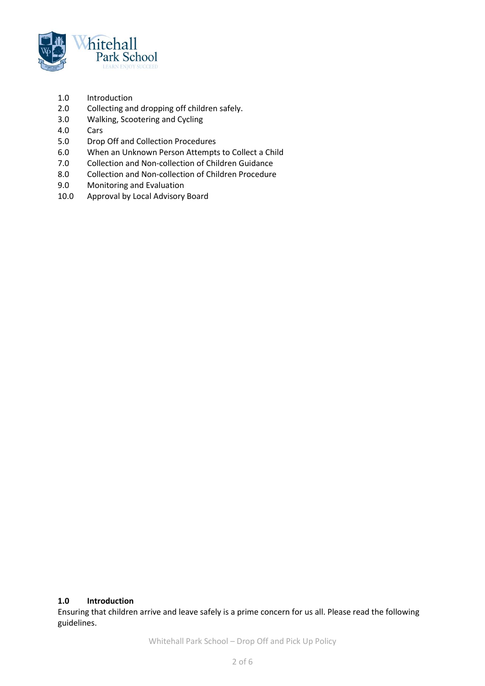

- 1.0 Introduction
- 2.0 Collecting and dropping off children safely.
- 3.0 Walking, Scootering and Cycling
- 4.0 Cars
- 5.0 Drop Off and Collection Procedures
- 6.0 When an Unknown Person Attempts to Collect a Child
- 7.0 Collection and Non-collection of Children Guidance
- 8.0 Collection and Non-collection of Children Procedure
- 9.0 Monitoring and Evaluation
- 10.0 Approval by Local Advisory Board

#### **1.0 Introduction**

Ensuring that children arrive and leave safely is a prime concern for us all. Please read the following guidelines.

Whitehall Park School – Drop Off and Pick Up Policy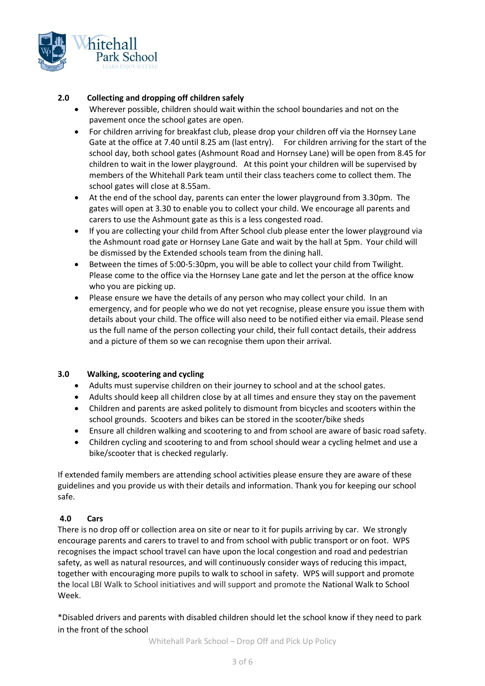

## **2.0 Collecting and dropping off children safely**

- Wherever possible, children should wait within the school boundaries and not on the pavement once the school gates are open.
- For children arriving for breakfast club, please drop your children off via the Hornsey Lane Gate at the office at 7.40 until 8.25 am (last entry). For children arriving for the start of the school day, both school gates (Ashmount Road and Hornsey Lane) will be open from 8.45 for children to wait in the lower playground. At this point your children will be supervised by members of the Whitehall Park team until their class teachers come to collect them. The school gates will close at 8.55am.
- At the end of the school day, parents can enter the lower playground from 3.30pm. The gates will open at 3.30 to enable you to collect your child. We encourage all parents and carers to use the Ashmount gate as this is a less congested road.
- If you are collecting your child from After School club please enter the lower playground via the Ashmount road gate or Hornsey Lane Gate and wait by the hall at 5pm. Your child will be dismissed by the Extended schools team from the dining hall.
- Between the times of 5:00-5:30pm, you will be able to collect your child from Twilight. Please come to the office via the Hornsey Lane gate and let the person at the office know who you are picking up.
- Please ensure we have the details of any person who may collect your child. In an emergency, and for people who we do not yet recognise, please ensure you issue them with details about your child. The office will also need to be notified either via email. Please send us the full name of the person collecting your child, their full contact details, their address and a picture of them so we can recognise them upon their arrival.

## **3.0 Walking, scootering and cycling**

- Adults must supervise children on their journey to school and at the school gates.
- Adults should keep all children close by at all times and ensure they stay on the pavement
- Children and parents are asked politely to dismount from bicycles and scooters within the school grounds. Scooters and bikes can be stored in the scooter/bike sheds
- Ensure all children walking and scootering to and from school are aware of basic road safety.
- Children cycling and scootering to and from school should wear a cycling helmet and use a bike/scooter that is checked regularly.

If extended family members are attending school activities please ensure they are aware of these guidelines and you provide us with their details and information. Thank you for keeping our school safe.

## **4.0 Cars**

There is no drop off or collection area on site or near to it for pupils arriving by car. We strongly encourage parents and carers to travel to and from school with public transport or on foot. WPS recognises the impact school travel can have upon the local congestion and road and pedestrian safety, as well as natural resources, and will continuously consider ways of reducing this impact, together with encouraging more pupils to walk to school in safety. WPS will support and promote the local LBI Walk to School initiatives and will support and promote the National Walk to School Week.

\*Disabled drivers and parents with disabled children should let the school know if they need to park in the front of the school

Whitehall Park School – Drop Off and Pick Up Policy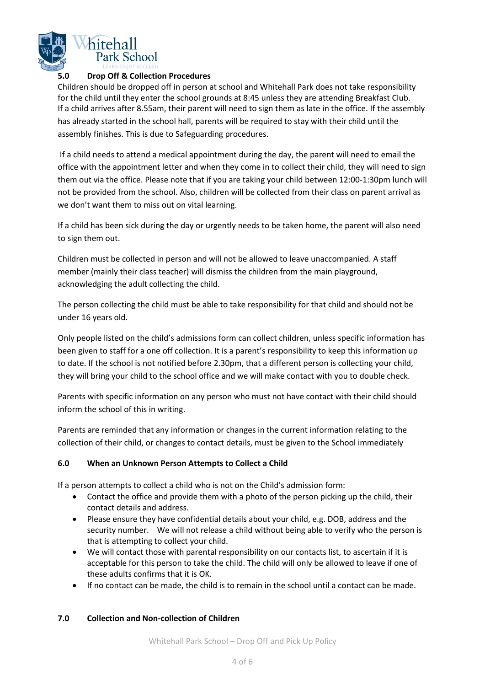

### **5.0 Drop Off & Collection Procedures**

Children should be dropped off in person at school and Whitehall Park does not take responsibility for the child until they enter the school grounds at 8:45 unless they are attending Breakfast Club. If a child arrives after 8.55am, their parent will need to sign them as late in the office. If the assembly has already started in the school hall, parents will be required to stay with their child until the assembly finishes. This is due to Safeguarding procedures.

If a child needs to attend a medical appointment during the day, the parent will need to email the office with the appointment letter and when they come in to collect their child, they will need to sign them out via the office. Please note that if you are taking your child between 12:00-1:30pm lunch will not be provided from the school. Also, children will be collected from their class on parent arrival as we don't want them to miss out on vital learning.

If a child has been sick during the day or urgently needs to be taken home, the parent will also need to sign them out.

Children must be collected in person and will not be allowed to leave unaccompanied. A staff member (mainly their class teacher) will dismiss the children from the main playground, acknowledging the adult collecting the child.

The person collecting the child must be able to take responsibility for that child and should not be under 16 years old.

Only people listed on the child's admissions form can collect children, unless specific information has been given to staff for a one off collection. It is a parent's responsibility to keep this information up to date. If the school is not notified before 2.30pm, that a different person is collecting your child, they will bring your child to the school office and we will make contact with you to double check.

Parents with specific information on any person who must not have contact with their child should inform the school of this in writing.

Parents are reminded that any information or changes in the current information relating to the collection of their child, or changes to contact details, must be given to the School immediately

## **6.0 When an Unknown Person Attempts to Collect a Child**

If a person attempts to collect a child who is not on the Child's admission form:

- Contact the office and provide them with a photo of the person picking up the child, their contact details and address.
- Please ensure they have confidential details about your child, e.g. DOB, address and the security number. We will not release a child without being able to verify who the person is that is attempting to collect your child.
- We will contact those with parental responsibility on our contacts list, to ascertain if it is acceptable for this person to take the child. The child will only be allowed to leave if one of these adults confirms that it is OK.
- If no contact can be made, the child is to remain in the school until a contact can be made.

#### **7.0 Collection and Non-collection of Children**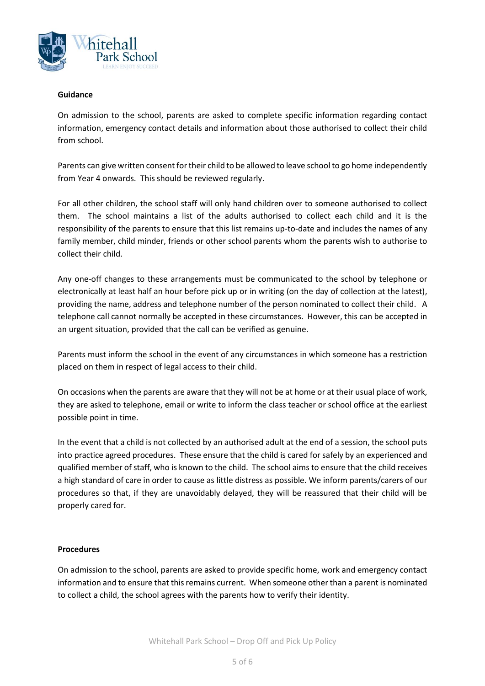

#### **Guidance**

On admission to the school, parents are asked to complete specific information regarding contact information, emergency contact details and information about those authorised to collect their child from school.

Parents can give written consent for their child to be allowed to leave school to go home independently from Year 4 onwards. This should be reviewed regularly.

For all other children, the school staff will only hand children over to someone authorised to collect them. The school maintains a list of the adults authorised to collect each child and it is the responsibility of the parents to ensure that this list remains up-to-date and includes the names of any family member, child minder, friends or other school parents whom the parents wish to authorise to collect their child.

Any one-off changes to these arrangements must be communicated to the school by telephone or electronically at least half an hour before pick up or in writing (on the day of collection at the latest), providing the name, address and telephone number of the person nominated to collect their child. A telephone call cannot normally be accepted in these circumstances. However, this can be accepted in an urgent situation, provided that the call can be verified as genuine.

Parents must inform the school in the event of any circumstances in which someone has a restriction placed on them in respect of legal access to their child.

On occasions when the parents are aware that they will not be at home or at their usual place of work, they are asked to telephone, email or write to inform the class teacher or school office at the earliest possible point in time.

In the event that a child is not collected by an authorised adult at the end of a session, the school puts into practice agreed procedures. These ensure that the child is cared for safely by an experienced and qualified member of staff, who is known to the child. The school aims to ensure that the child receives a high standard of care in order to cause as little distress as possible. We inform parents/carers of our procedures so that, if they are unavoidably delayed, they will be reassured that their child will be properly cared for.

#### **Procedures**

On admission to the school, parents are asked to provide specific home, work and emergency contact information and to ensure that this remains current. When someone other than a parent is nominated to collect a child, the school agrees with the parents how to verify their identity.